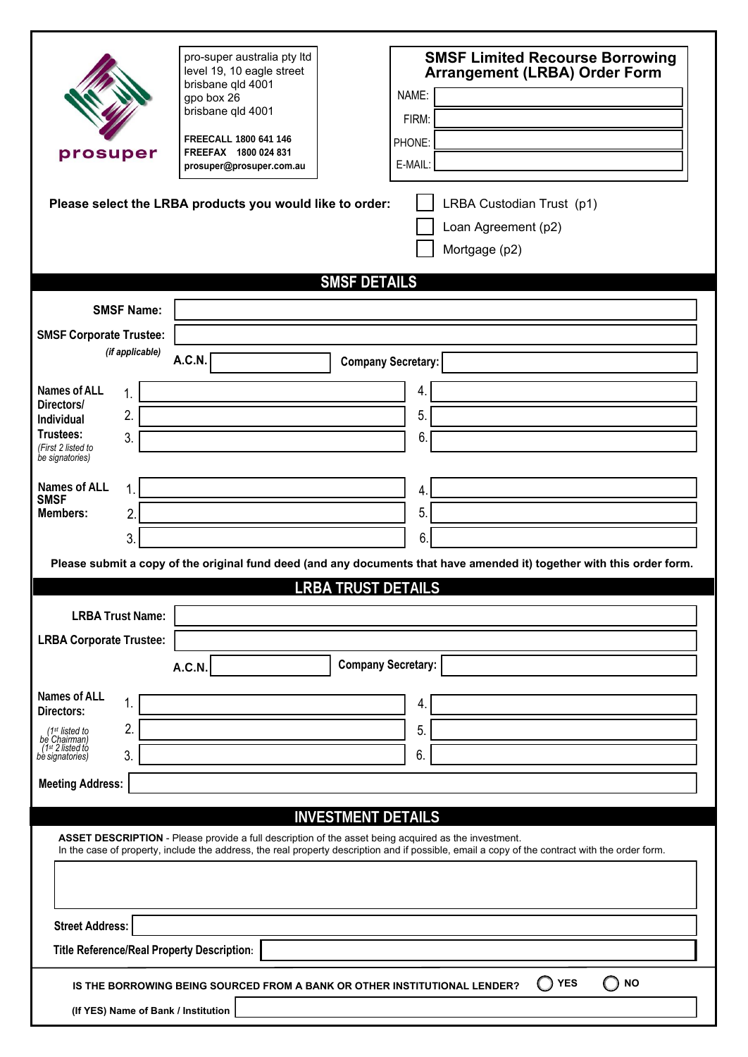| prosuper                                                                                                                                                                                                                                                                                                                                                                                                                                                            | pro-super australia pty Itd<br>level 19, 10 eagle street<br>brisbane qld 4001<br>gpo box 26<br>brisbane gld 4001<br>FREECALL 1800 641 146<br>FREEFAX 1800 024 831<br>prosuper@prosuper.com.au<br>Please select the LRBA products you would like to order: | <b>SMSF Limited Recourse Borrowing</b><br><b>Arrangement (LRBA) Order Form</b><br>NAME:<br>FIRM:<br>PHONE:<br>E-MAIL:<br>LRBA Custodian Trust (p1)<br>Loan Agreement (p2)<br>Mortgage (p2) |  |
|---------------------------------------------------------------------------------------------------------------------------------------------------------------------------------------------------------------------------------------------------------------------------------------------------------------------------------------------------------------------------------------------------------------------------------------------------------------------|-----------------------------------------------------------------------------------------------------------------------------------------------------------------------------------------------------------------------------------------------------------|--------------------------------------------------------------------------------------------------------------------------------------------------------------------------------------------|--|
|                                                                                                                                                                                                                                                                                                                                                                                                                                                                     |                                                                                                                                                                                                                                                           | <b>SMSF DETAILS</b>                                                                                                                                                                        |  |
| <b>SMSF Name:</b><br><b>SMSF Corporate Trustee:</b><br>(if applicable)<br><b>Names of ALL</b><br>1.<br>Directors/<br>2.<br>Individual<br>Trustees:<br>3.                                                                                                                                                                                                                                                                                                            | <b>A.C.N.</b>                                                                                                                                                                                                                                             | <b>Company Secretary:</b><br>4.<br>5.                                                                                                                                                      |  |
| (First 2 listed to<br>be signatories)<br><b>Names of ALL</b><br>1.<br><b>SMSF</b><br><b>Members:</b><br>$\overline{2}$<br>3.                                                                                                                                                                                                                                                                                                                                        |                                                                                                                                                                                                                                                           | 6<br>4<br>5<br>6<br>Please submit a copy of the original fund deed (and any documents that have amended it) together with this order form.                                                 |  |
| <b>LRBA TRUST DETAILS</b>                                                                                                                                                                                                                                                                                                                                                                                                                                           |                                                                                                                                                                                                                                                           |                                                                                                                                                                                            |  |
| <b>LRBA Trust Name:</b><br><b>LRBA Corporate Trustee:</b><br><b>Company Secretary:</b><br><b>A.C.N.</b>                                                                                                                                                                                                                                                                                                                                                             |                                                                                                                                                                                                                                                           |                                                                                                                                                                                            |  |
| <b>Names of ALL</b><br>1.<br>Directors:<br>2.<br>$(1st$ listed to<br>be Chairman)<br>(1 <sup>st</sup> 2 listed to<br>3.<br>bè signatories)<br><b>Meeting Address:</b>                                                                                                                                                                                                                                                                                               |                                                                                                                                                                                                                                                           | 4.<br>5.<br>6.                                                                                                                                                                             |  |
| <b>INVESTMENT DETAILS</b><br>ASSET DESCRIPTION - Please provide a full description of the asset being acquired as the investment.<br>In the case of property, include the address, the real property description and if possible, email a copy of the contract with the order form.<br><b>Street Address:</b><br>Title Reference/Real Property Description:<br><b>YES</b><br><b>NO</b><br>IS THE BORROWING BEING SOURCED FROM A BANK OR OTHER INSTITUTIONAL LENDER? |                                                                                                                                                                                                                                                           |                                                                                                                                                                                            |  |
| (If YES) Name of Bank / Institution                                                                                                                                                                                                                                                                                                                                                                                                                                 |                                                                                                                                                                                                                                                           |                                                                                                                                                                                            |  |